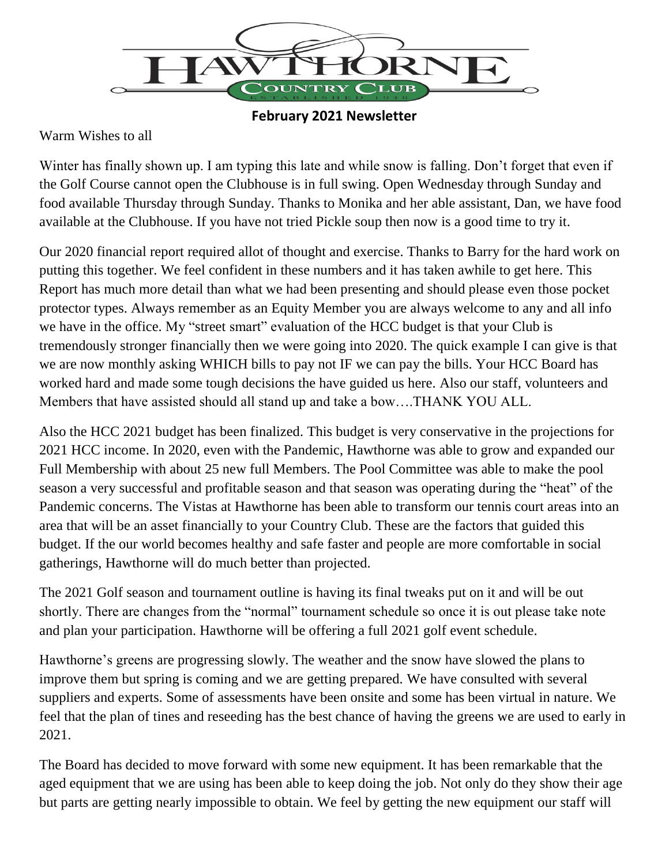

## **February 2021 Newsletter**

## Warm Wishes to all

Winter has finally shown up. I am typing this late and while snow is falling. Don't forget that even if the Golf Course cannot open the Clubhouse is in full swing. Open Wednesday through Sunday and food available Thursday through Sunday. Thanks to Monika and her able assistant, Dan, we have food available at the Clubhouse. If you have not tried Pickle soup then now is a good time to try it.

Our 2020 financial report required allot of thought and exercise. Thanks to Barry for the hard work on putting this together. We feel confident in these numbers and it has taken awhile to get here. This Report has much more detail than what we had been presenting and should please even those pocket protector types. Always remember as an Equity Member you are always welcome to any and all info we have in the office. My "street smart" evaluation of the HCC budget is that your Club is tremendously stronger financially then we were going into 2020. The quick example I can give is that we are now monthly asking WHICH bills to pay not IF we can pay the bills. Your HCC Board has worked hard and made some tough decisions the have guided us here. Also our staff, volunteers and Members that have assisted should all stand up and take a bow….THANK YOU ALL.

Also the HCC 2021 budget has been finalized. This budget is very conservative in the projections for 2021 HCC income. In 2020, even with the Pandemic, Hawthorne was able to grow and expanded our Full Membership with about 25 new full Members. The Pool Committee was able to make the pool season a very successful and profitable season and that season was operating during the "heat" of the Pandemic concerns. The Vistas at Hawthorne has been able to transform our tennis court areas into an area that will be an asset financially to your Country Club. These are the factors that guided this budget. If the our world becomes healthy and safe faster and people are more comfortable in social gatherings, Hawthorne will do much better than projected.

The 2021 Golf season and tournament outline is having its final tweaks put on it and will be out shortly. There are changes from the "normal" tournament schedule so once it is out please take note and plan your participation. Hawthorne will be offering a full 2021 golf event schedule.

Hawthorne's greens are progressing slowly. The weather and the snow have slowed the plans to improve them but spring is coming and we are getting prepared. We have consulted with several suppliers and experts. Some of assessments have been onsite and some has been virtual in nature. We feel that the plan of tines and reseeding has the best chance of having the greens we are used to early in 2021.

The Board has decided to move forward with some new equipment. It has been remarkable that the aged equipment that we are using has been able to keep doing the job. Not only do they show their age but parts are getting nearly impossible to obtain. We feel by getting the new equipment our staff will